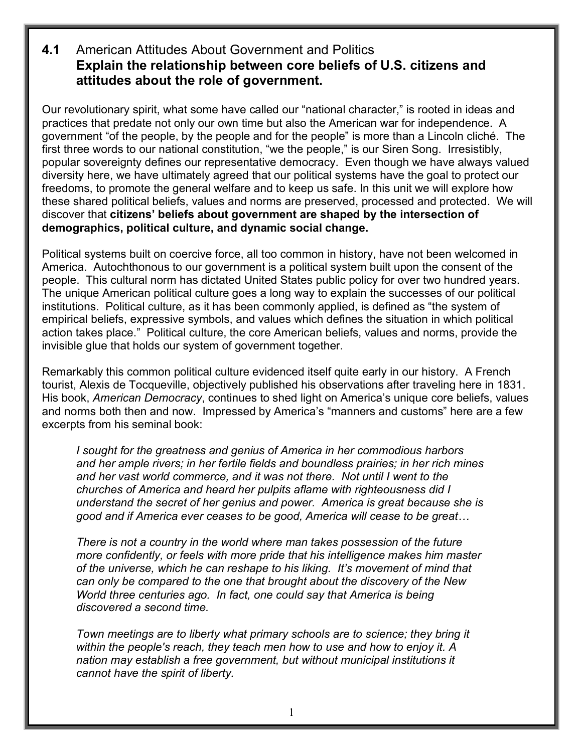## **4.1** American Attitudes About Government and Politics **Explain the relationship between core beliefs of U.S. citizens and attitudes about the role of government.**

Our revolutionary spirit, what some have called our "national character," is rooted in ideas and practices that predate not only our own time but also the American war for independence. A government "of the people, by the people and for the people" is more than a Lincoln cliché. The first three words to our national constitution, "we the people," is our Siren Song. Irresistibly, popular sovereignty defines our representative democracy. Even though we have always valued diversity here, we have ultimately agreed that our political systems have the goal to protect our freedoms, to promote the general welfare and to keep us safe. In this unit we will explore how these shared political beliefs, values and norms are preserved, processed and protected. We will discover that **citizens' beliefs about government are shaped by the intersection of demographics, political culture, and dynamic social change.** 

Political systems built on coercive force, all too common in history, have not been welcomed in America. Autochthonous to our government is a political system built upon the consent of the people. This cultural norm has dictated United States public policy for over two hundred years. The unique American political culture goes a long way to explain the successes of our political institutions. Political culture, as it has been commonly applied, is defined as "the system of empirical beliefs, expressive symbols, and values which defines the situation in which political action takes place." Political culture, the core American beliefs, values and norms, provide the invisible glue that holds our system of government together.

Remarkably this common political culture evidenced itself quite early in our history. A French tourist, Alexis de Tocqueville, objectively published his observations after traveling here in 1831. His book, *American Democracy*, continues to shed light on America's unique core beliefs, values and norms both then and now. Impressed by America's "manners and customs" here are a few excerpts from his seminal book:

*I sought for the greatness and genius of America in her commodious harbors and her ample rivers; in her fertile fields and boundless prairies; in her rich mines and her vast world commerce, and it was not there. Not until I went to the churches of America and heard her pulpits aflame with righteousness did I understand the secret of her genius and power. America is great because she is good and if America ever ceases to be good, America will cease to be great…*

*There is not a country in the world where man takes possession of the future more confidently, or feels with more pride that his intelligence makes him master of the universe, which he can reshape to his liking. It's movement of mind that can only be compared to the one that brought about the discovery of the New World three centuries ago. In fact, one could say that America is being discovered a second time.*

*Town meetings are to liberty what primary schools are to science; they bring it within the people's reach, they teach men how to use and how to enjoy it. A nation may establish a free government, but without municipal institutions it cannot have the spirit of liberty.*